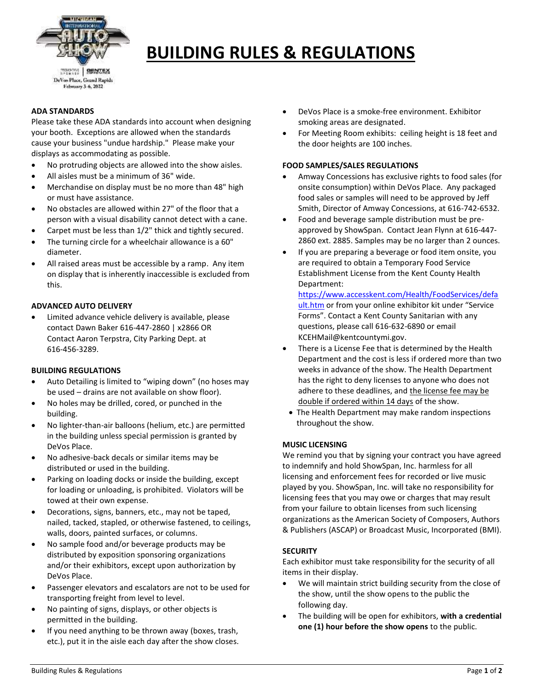

# **BUILDING RULES & REGULATIONS**

# **ADA STANDARDS**

Please take these ADA standards into account when designing your booth. Exceptions are allowed when the standards cause your business "undue hardship." Please make your displays as accommodating as possible.

- No protruding objects are allowed into the show aisles.
- All aisles must be a minimum of 36" wide.
- Merchandise on display must be no more than 48" high or must have assistance.
- No obstacles are allowed within 27" of the floor that a person with a visual disability cannot detect with a cane.
- Carpet must be less than 1/2" thick and tightly secured.
- The turning circle for a wheelchair allowance is a 60" diameter.
- All raised areas must be accessible by a ramp. Any item on display that is inherently inaccessible is excluded from this.

### **ADVANCED AUTO DELIVERY**

 Limited advance vehicle delivery is available, please contact Dawn Baker 616-447-2860 | x2866 OR Contact Aaron Terpstra, City Parking Dept. at 616-456-3289.

#### **BUILDING REGULATIONS**

- Auto Detailing is limited to "wiping down" (no hoses may be used – drains are not available on show floor).
- No holes may be drilled, cored, or punched in the building.
- No lighter-than-air balloons (helium, etc.) are permitted in the building unless special permission is granted by DeVos Place.
- No adhesive-back decals or similar items may be distributed or used in the building.
- Parking on loading docks or inside the building, except for loading or unloading, is prohibited. Violators will be towed at their own expense.
- Decorations, signs, banners, etc., may not be taped, nailed, tacked, stapled, or otherwise fastened, to ceilings, walls, doors, painted surfaces, or columns.
- No sample food and/or beverage products may be distributed by exposition sponsoring organizations and/or their exhibitors, except upon authorization by DeVos Place.
- Passenger elevators and escalators are not to be used for transporting freight from level to level.
- No painting of signs, displays, or other objects is permitted in the building.
- If you need anything to be thrown away (boxes, trash, etc.), put it in the aisle each day after the show closes.
- DeVos Place is a smoke-free environment. Exhibitor smoking areas are designated.
- For Meeting Room exhibits: ceiling height is 18 feet and the door heights are 100 inches.

### **FOOD SAMPLES/SALES REGULATIONS**

- Amway Concessions has exclusive rights to food sales (for onsite consumption) within DeVos Place. Any packaged food sales or samples will need to be approved by Jeff Smith, Director of Amway Concessions, at 616-742-6532.
- Food and beverage sample distribution must be preapproved by ShowSpan. Contact Jean Flynn at 616-447- 2860 ext. 2885. Samples may be no larger than 2 ounces.
- If you are preparing a beverage or food item onsite, you are required to obtain a Temporary Food Service Establishment License from the Kent County Health Department:

[https://www.accesskent.com/Health/FoodServices/defa](https://www.accesskent.com/Health/FoodServices/default.htm) [ult.htm](https://www.accesskent.com/Health/FoodServices/default.htm) or from your online exhibitor kit under "Service Forms". Contact a Kent County Sanitarian with any questions, please call 616-632-6890 or email KCEHMail@kentcountymi.gov.

- There is a License Fee that is determined by the Health Department and the cost is less if ordered more than two weeks in advance of the show. The Health Department has the right to deny licenses to anyone who does not adhere to these deadlines, and the license fee may be double if ordered within 14 days of the show.
- The Health Department may make random inspections throughout the show.

# **MUSIC LICENSING**

We remind you that by signing your contract you have agreed to indemnify and hold ShowSpan, Inc. harmless for all licensing and enforcement fees for recorded or live music played by you. ShowSpan, Inc. will take no responsibility for licensing fees that you may owe or charges that may result from your failure to obtain licenses from such licensing organizations as the American Society of Composers, Authors & Publishers (ASCAP) or Broadcast Music, Incorporated (BMI).

# **SECURITY**

Each exhibitor must take responsibility for the security of all items in their display.

- We will maintain strict building security from the close of the show, until the show opens to the public the following day.
- The building will be open for exhibitors, **with a credential one (1) hour before the show opens** to the public.